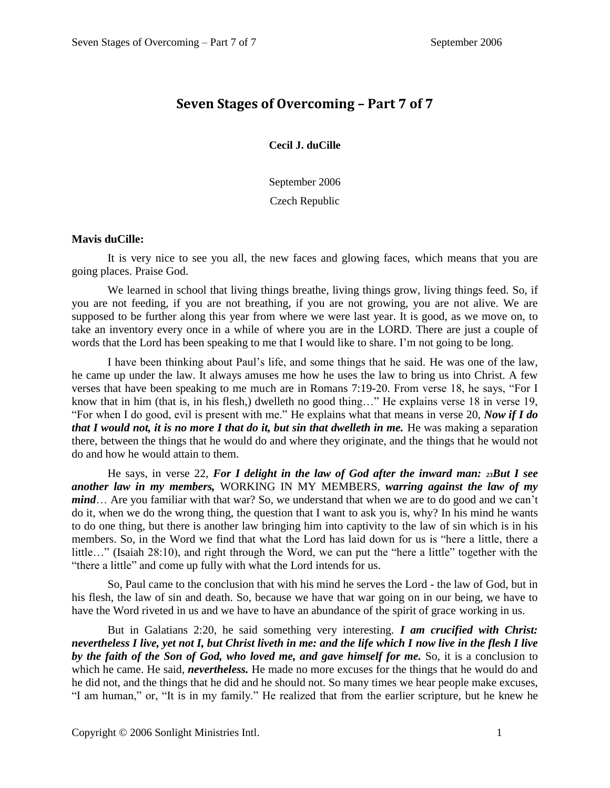## **Seven Stages of Overcoming – Part 7 of 7**

**Cecil J. duCille**

September 2006 Czech Republic

## **Mavis duCille:**

It is very nice to see you all, the new faces and glowing faces, which means that you are going places. Praise God.

We learned in school that living things breathe, living things grow, living things feed. So, if you are not feeding, if you are not breathing, if you are not growing, you are not alive. We are supposed to be further along this year from where we were last year. It is good, as we move on, to take an inventory every once in a while of where you are in the LORD. There are just a couple of words that the Lord has been speaking to me that I would like to share. I'm not going to be long.

I have been thinking about Paul's life, and some things that he said. He was one of the law, he came up under the law. It always amuses me how he uses the law to bring us into Christ. A few verses that have been speaking to me much are in Romans 7:19-20. From verse 18, he says, "For I know that in him (that is, in his flesh,) dwelleth no good thing…" He explains verse 18 in verse 19, "For when I do good, evil is present with me." He explains what that means in verse 20, *Now if I do that I would not, it is no more I that do it, but sin that dwelleth in me.* He was making a separation there, between the things that he would do and where they originate, and the things that he would not do and how he would attain to them.

He says, in verse 22, *For I delight in the law of God after the inward man: 23But I see another law in my members,* WORKING IN MY MEMBERS, *warring against the law of my mind*… Are you familiar with that war? So, we understand that when we are to do good and we can't do it, when we do the wrong thing, the question that I want to ask you is, why? In his mind he wants to do one thing, but there is another law bringing him into captivity to the law of sin which is in his members. So, in the Word we find that what the Lord has laid down for us is "here a little, there a little…" (Isaiah 28:10), and right through the Word, we can put the "here a little" together with the "there a little" and come up fully with what the Lord intends for us.

So, Paul came to the conclusion that with his mind he serves the Lord - the law of God, but in his flesh, the law of sin and death. So, because we have that war going on in our being, we have to have the Word riveted in us and we have to have an abundance of the spirit of grace working in us.

But in Galatians 2:20, he said something very interesting. *I am crucified with Christ: nevertheless I live, yet not I, but Christ liveth in me: and the life which I now live in the flesh I live*  by the faith of the Son of God, who loved me, and gave himself for me. So, it is a conclusion to which he came. He said, *nevertheless*. He made no more excuses for the things that he would do and he did not, and the things that he did and he should not. So many times we hear people make excuses, "I am human," or, "It is in my family." He realized that from the earlier scripture, but he knew he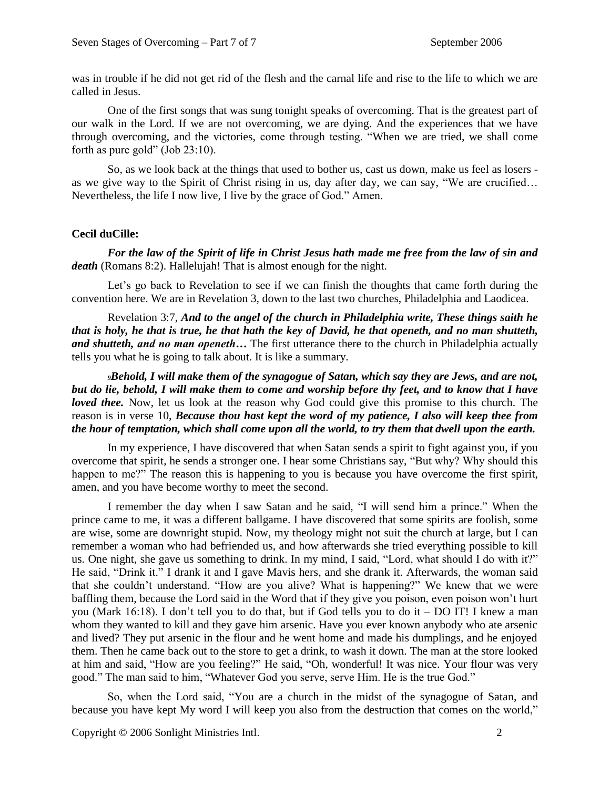was in trouble if he did not get rid of the flesh and the carnal life and rise to the life to which we are called in Jesus.

One of the first songs that was sung tonight speaks of overcoming. That is the greatest part of our walk in the Lord. If we are not overcoming, we are dying. And the experiences that we have through overcoming, and the victories, come through testing. "When we are tried, we shall come forth as pure gold" (Job 23:10).

So, as we look back at the things that used to bother us, cast us down, make us feel as losers as we give way to the Spirit of Christ rising in us, day after day, we can say, "We are crucified… Nevertheless, the life I now live, I live by the grace of God." Amen.

## **Cecil duCille:**

*For the law of the Spirit of life in Christ Jesus hath made me free from the law of sin and*  death (Romans 8:2). Hallelujah! That is almost enough for the night.

Let's go back to Revelation to see if we can finish the thoughts that came forth during the convention here. We are in Revelation 3, down to the last two churches, Philadelphia and Laodicea.

Revelation 3:7, *And to the angel of the church in Philadelphia write, These things saith he that is holy, he that is true, he that hath the key of David, he that openeth, and no man shutteth, and shutteth, and no man openeth…* The first utterance there to the church in Philadelphia actually tells you what he is going to talk about. It is like a summary.

*<sup>9</sup>Behold, I will make them of the synagogue of Satan, which say they are Jews, and are not, but do lie, behold, I will make them to come and worship before thy feet, and to know that I have loved thee.* Now, let us look at the reason why God could give this promise to this church. The reason is in verse 10, *Because thou hast kept the word of my patience, I also will keep thee from the hour of temptation, which shall come upon all the world, to try them that dwell upon the earth.*

In my experience, I have discovered that when Satan sends a spirit to fight against you, if you overcome that spirit, he sends a stronger one. I hear some Christians say, "But why? Why should this happen to me?" The reason this is happening to you is because you have overcome the first spirit, amen, and you have become worthy to meet the second.

I remember the day when I saw Satan and he said, "I will send him a prince." When the prince came to me, it was a different ballgame. I have discovered that some spirits are foolish, some are wise, some are downright stupid. Now, my theology might not suit the church at large, but I can remember a woman who had befriended us, and how afterwards she tried everything possible to kill us. One night, she gave us something to drink. In my mind, I said, "Lord, what should I do with it?" He said, "Drink it." I drank it and I gave Mavis hers, and she drank it. Afterwards, the woman said that she couldn't understand. "How are you alive? What is happening?" We knew that we were baffling them, because the Lord said in the Word that if they give you poison, even poison won't hurt you (Mark 16:18). I don't tell you to do that, but if God tells you to do it – DO IT! I knew a man whom they wanted to kill and they gave him arsenic. Have you ever known anybody who ate arsenic and lived? They put arsenic in the flour and he went home and made his dumplings, and he enjoyed them. Then he came back out to the store to get a drink, to wash it down. The man at the store looked at him and said, "How are you feeling?" He said, "Oh, wonderful! It was nice. Your flour was very good." The man said to him, "Whatever God you serve, serve Him. He is the true God."

So, when the Lord said, "You are a church in the midst of the synagogue of Satan, and because you have kept My word I will keep you also from the destruction that comes on the world,"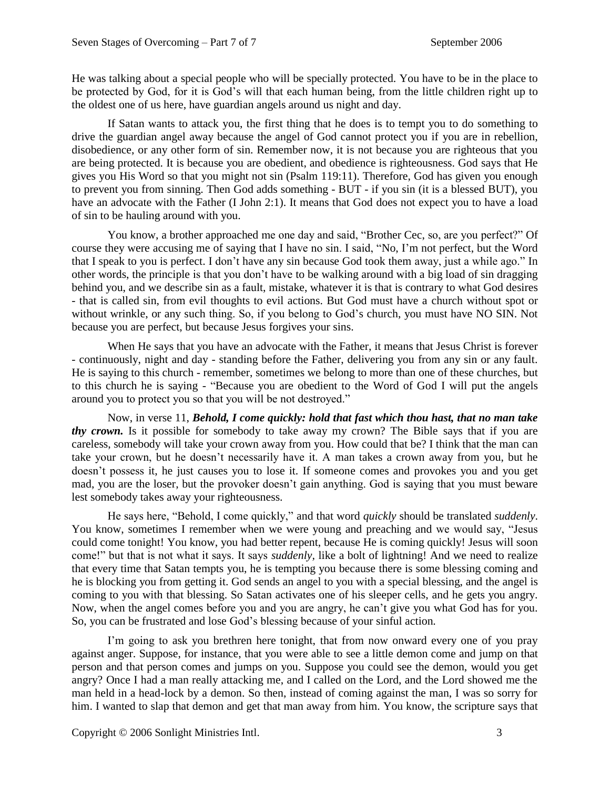He was talking about a special people who will be specially protected. You have to be in the place to be protected by God, for it is God's will that each human being, from the little children right up to the oldest one of us here, have guardian angels around us night and day.

If Satan wants to attack you, the first thing that he does is to tempt you to do something to drive the guardian angel away because the angel of God cannot protect you if you are in rebellion, disobedience, or any other form of sin. Remember now, it is not because you are righteous that you are being protected. It is because you are obedient, and obedience is righteousness. God says that He gives you His Word so that you might not sin (Psalm 119:11). Therefore, God has given you enough to prevent you from sinning. Then God adds something - BUT - if you sin (it is a blessed BUT), you have an advocate with the Father (I John 2:1). It means that God does not expect you to have a load of sin to be hauling around with you.

You know, a brother approached me one day and said, "Brother Cec, so, are you perfect?" Of course they were accusing me of saying that I have no sin. I said, "No, I'm not perfect, but the Word that I speak to you is perfect. I don't have any sin because God took them away, just a while ago." In other words, the principle is that you don't have to be walking around with a big load of sin dragging behind you, and we describe sin as a fault, mistake, whatever it is that is contrary to what God desires - that is called sin, from evil thoughts to evil actions. But God must have a church without spot or without wrinkle, or any such thing. So, if you belong to God's church, you must have NO SIN. Not because you are perfect, but because Jesus forgives your sins.

When He says that you have an advocate with the Father, it means that Jesus Christ is forever - continuously, night and day - standing before the Father, delivering you from any sin or any fault. He is saying to this church - remember, sometimes we belong to more than one of these churches, but to this church he is saying - "Because you are obedient to the Word of God I will put the angels around you to protect you so that you will be not destroyed."

Now, in verse 11, *Behold, I come quickly: hold that fast which thou hast, that no man take thy crown*. Is it possible for somebody to take away my crown? The Bible says that if you are careless, somebody will take your crown away from you. How could that be? I think that the man can take your crown, but he doesn't necessarily have it. A man takes a crown away from you, but he doesn't possess it, he just causes you to lose it. If someone comes and provokes you and you get mad, you are the loser, but the provoker doesn't gain anything. God is saying that you must beware lest somebody takes away your righteousness.

He says here, "Behold, I come quickly," and that word *quickly* should be translated *suddenly*. You know, sometimes I remember when we were young and preaching and we would say, "Jesus could come tonight! You know, you had better repent, because He is coming quickly! Jesus will soon come!" but that is not what it says. It says *suddenly,* like a bolt of lightning! And we need to realize that every time that Satan tempts you, he is tempting you because there is some blessing coming and he is blocking you from getting it. God sends an angel to you with a special blessing, and the angel is coming to you with that blessing. So Satan activates one of his sleeper cells, and he gets you angry. Now, when the angel comes before you and you are angry, he can't give you what God has for you. So, you can be frustrated and lose God's blessing because of your sinful action.

I'm going to ask you brethren here tonight, that from now onward every one of you pray against anger. Suppose, for instance, that you were able to see a little demon come and jump on that person and that person comes and jumps on you. Suppose you could see the demon, would you get angry? Once I had a man really attacking me, and I called on the Lord, and the Lord showed me the man held in a head-lock by a demon. So then, instead of coming against the man, I was so sorry for him. I wanted to slap that demon and get that man away from him. You know, the scripture says that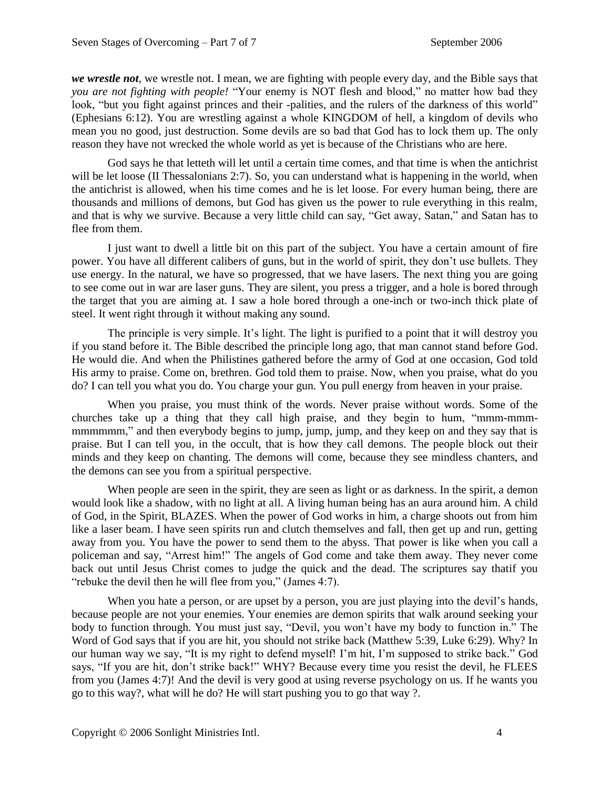*we wrestle not*, we wrestle not. I mean, we are fighting with people every day, and the Bible says that *you are not fighting with people!* "Your enemy is NOT flesh and blood," no matter how bad they look, "but you fight against princes and their -palities, and the rulers of the darkness of this world" (Ephesians 6:12). You are wrestling against a whole KINGDOM of hell, a kingdom of devils who mean you no good, just destruction. Some devils are so bad that God has to lock them up. The only reason they have not wrecked the whole world as yet is because of the Christians who are here.

God says he that letteth will let until a certain time comes, and that time is when the antichrist will be let loose (II Thessalonians 2:7). So, you can understand what is happening in the world, when the antichrist is allowed, when his time comes and he is let loose. For every human being, there are thousands and millions of demons, but God has given us the power to rule everything in this realm, and that is why we survive. Because a very little child can say, "Get away, Satan," and Satan has to flee from them.

I just want to dwell a little bit on this part of the subject. You have a certain amount of fire power. You have all different calibers of guns, but in the world of spirit, they don't use bullets. They use energy. In the natural, we have so progressed, that we have lasers. The next thing you are going to see come out in war are laser guns. They are silent, you press a trigger, and a hole is bored through the target that you are aiming at. I saw a hole bored through a one-inch or two-inch thick plate of steel. It went right through it without making any sound.

The principle is very simple. It's light. The light is purified to a point that it will destroy you if you stand before it. The Bible described the principle long ago, that man cannot stand before God. He would die. And when the Philistines gathered before the army of God at one occasion, God told His army to praise. Come on, brethren. God told them to praise. Now, when you praise, what do you do? I can tell you what you do. You charge your gun. You pull energy from heaven in your praise.

When you praise, you must think of the words. Never praise without words. Some of the churches take up a thing that they call high praise, and they begin to hum, "mmm-mmmmmmmmm," and then everybody begins to jump, jump, jump, and they keep on and they say that is praise. But I can tell you, in the occult, that is how they call demons. The people block out their minds and they keep on chanting. The demons will come, because they see mindless chanters, and the demons can see you from a spiritual perspective.

When people are seen in the spirit, they are seen as light or as darkness. In the spirit, a demon would look like a shadow, with no light at all. A living human being has an aura around him. A child of God, in the Spirit, BLAZES. When the power of God works in him, a charge shoots out from him like a laser beam. I have seen spirits run and clutch themselves and fall, then get up and run, getting away from you. You have the power to send them to the abyss. That power is like when you call a policeman and say, "Arrest him!" The angels of God come and take them away. They never come back out until Jesus Christ comes to judge the quick and the dead. The scriptures say thatif you "rebuke the devil then he will flee from you," (James 4:7).

When you hate a person, or are upset by a person, you are just playing into the devil's hands, because people are not your enemies. Your enemies are demon spirits that walk around seeking your body to function through. You must just say, "Devil, you won't have my body to function in." The Word of God says that if you are hit, you should not strike back (Matthew 5:39, Luke 6:29). Why? In our human way we say, "It is my right to defend myself! I'm hit, I'm supposed to strike back." God says, "If you are hit, don't strike back!" WHY? Because every time you resist the devil, he FLEES from you (James 4:7)! And the devil is very good at using reverse psychology on us. If he wants you go to this way?, what will he do? He will start pushing you to go that way ?.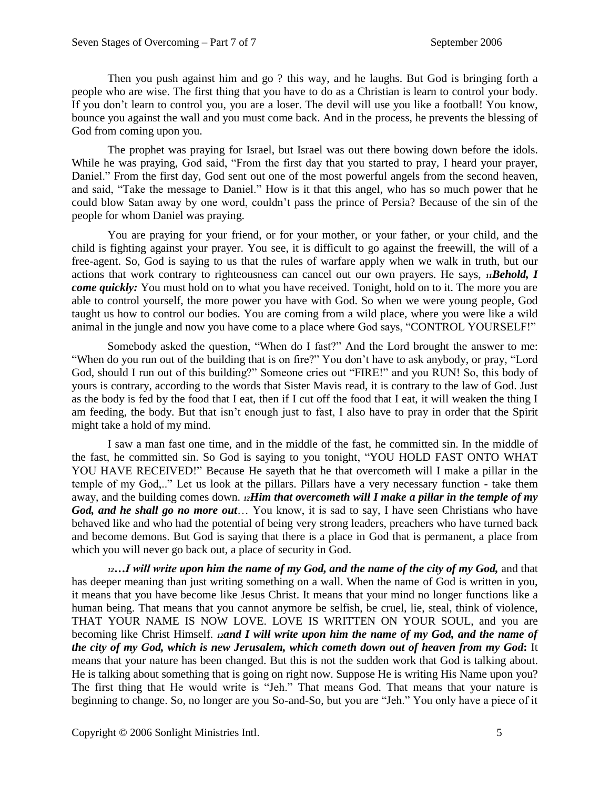Then you push against him and go ? this way, and he laughs. But God is bringing forth a people who are wise. The first thing that you have to do as a Christian is learn to control your body. If you don't learn to control you, you are a loser. The devil will use you like a football! You know, bounce you against the wall and you must come back. And in the process, he prevents the blessing of God from coming upon you.

The prophet was praying for Israel, but Israel was out there bowing down before the idols. While he was praying, God said, "From the first day that you started to pray, I heard your prayer, Daniel." From the first day, God sent out one of the most powerful angels from the second heaven, and said, "Take the message to Daniel." How is it that this angel, who has so much power that he could blow Satan away by one word, couldn't pass the prince of Persia? Because of the sin of the people for whom Daniel was praying.

You are praying for your friend, or for your mother, or your father, or your child, and the child is fighting against your prayer. You see, it is difficult to go against the freewill, the will of a free-agent. So, God is saying to us that the rules of warfare apply when we walk in truth, but our actions that work contrary to righteousness can cancel out our own prayers. He says, *11Behold, I come quickly:* You must hold on to what you have received. Tonight, hold on to it. The more you are able to control yourself, the more power you have with God. So when we were young people, God taught us how to control our bodies. You are coming from a wild place, where you were like a wild animal in the jungle and now you have come to a place where God says, "CONTROL YOURSELF!"

Somebody asked the question, "When do I fast?" And the Lord brought the answer to me: "When do you run out of the building that is on fire?" You don't have to ask anybody, or pray, "Lord God, should I run out of this building?" Someone cries out "FIRE!" and you RUN! So, this body of yours is contrary, according to the words that Sister Mavis read, it is contrary to the law of God. Just as the body is fed by the food that I eat, then if I cut off the food that I eat, it will weaken the thing I am feeding, the body. But that isn't enough just to fast, I also have to pray in order that the Spirit might take a hold of my mind.

I saw a man fast one time, and in the middle of the fast, he committed sin. In the middle of the fast, he committed sin. So God is saying to you tonight, "YOU HOLD FAST ONTO WHAT YOU HAVE RECEIVED!" Because He sayeth that he that overcometh will I make a pillar in the temple of my God,.." Let us look at the pillars. Pillars have a very necessary function - take them away, and the building comes down. *12Him that overcometh will I make a pillar in the temple of my God, and he shall go no more out*… You know, it is sad to say, I have seen Christians who have behaved like and who had the potential of being very strong leaders, preachers who have turned back and become demons. But God is saying that there is a place in God that is permanent, a place from which you will never go back out, a place of security in God.

*<sup>12</sup>…I will write upon him the name of my God, and the name of the city of my God,* and that has deeper meaning than just writing something on a wall. When the name of God is written in you, it means that you have become like Jesus Christ. It means that your mind no longer functions like a human being. That means that you cannot anymore be selfish, be cruel, lie, steal, think of violence, THAT YOUR NAME IS NOW LOVE. LOVE IS WRITTEN ON YOUR SOUL, and you are becoming like Christ Himself. *<sup>12</sup>and I will write upon him the name of my God, and the name of the city of my God, which is new Jerusalem, which cometh down out of heaven from my God***:** It means that your nature has been changed. But this is not the sudden work that God is talking about. He is talking about something that is going on right now. Suppose He is writing His Name upon you? The first thing that He would write is "Jeh." That means God. That means that your nature is beginning to change. So, no longer are you So-and-So, but you are "Jeh." You only have a piece of it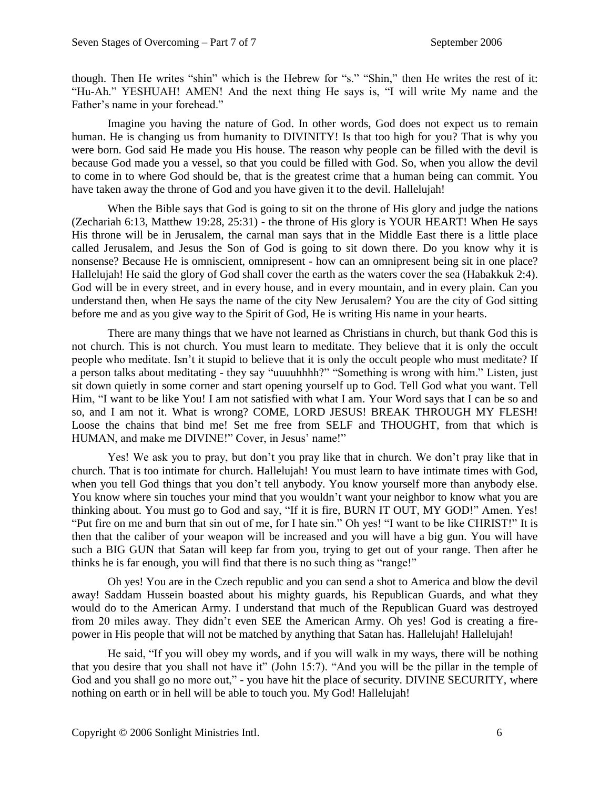though. Then He writes "shin" which is the Hebrew for "s." "Shin," then He writes the rest of it: "Hu-Ah." YESHUAH! AMEN! And the next thing He says is, "I will write My name and the Father's name in your forehead."

Imagine you having the nature of God. In other words, God does not expect us to remain human. He is changing us from humanity to DIVINITY! Is that too high for you? That is why you were born. God said He made you His house. The reason why people can be filled with the devil is because God made you a vessel, so that you could be filled with God. So, when you allow the devil to come in to where God should be, that is the greatest crime that a human being can commit. You have taken away the throne of God and you have given it to the devil. Hallelujah!

When the Bible says that God is going to sit on the throne of His glory and judge the nations (Zechariah 6:13, Matthew 19:28, 25:31) - the throne of His glory is YOUR HEART! When He says His throne will be in Jerusalem, the carnal man says that in the Middle East there is a little place called Jerusalem, and Jesus the Son of God is going to sit down there. Do you know why it is nonsense? Because He is omniscient, omnipresent - how can an omnipresent being sit in one place? Hallelujah! He said the glory of God shall cover the earth as the waters cover the sea (Habakkuk 2:4). God will be in every street, and in every house, and in every mountain, and in every plain. Can you understand then, when He says the name of the city New Jerusalem? You are the city of God sitting before me and as you give way to the Spirit of God, He is writing His name in your hearts.

There are many things that we have not learned as Christians in church, but thank God this is not church. This is not church. You must learn to meditate. They believe that it is only the occult people who meditate. Isn't it stupid to believe that it is only the occult people who must meditate? If a person talks about meditating - they say "uuuuhhhh?" "Something is wrong with him." Listen, just sit down quietly in some corner and start opening yourself up to God. Tell God what you want. Tell Him, "I want to be like You! I am not satisfied with what I am. Your Word says that I can be so and so, and I am not it. What is wrong? COME, LORD JESUS! BREAK THROUGH MY FLESH! Loose the chains that bind me! Set me free from SELF and THOUGHT, from that which is HUMAN, and make me DIVINE!" Cover, in Jesus' name!"

Yes! We ask you to pray, but don't you pray like that in church. We don't pray like that in church. That is too intimate for church. Hallelujah! You must learn to have intimate times with God, when you tell God things that you don't tell anybody. You know yourself more than anybody else. You know where sin touches your mind that you wouldn't want your neighbor to know what you are thinking about. You must go to God and say, "If it is fire, BURN IT OUT, MY GOD!" Amen. Yes! "Put fire on me and burn that sin out of me, for I hate sin." Oh yes! "I want to be like CHRIST!" It is then that the caliber of your weapon will be increased and you will have a big gun. You will have such a BIG GUN that Satan will keep far from you, trying to get out of your range. Then after he thinks he is far enough, you will find that there is no such thing as "range!"

Oh yes! You are in the Czech republic and you can send a shot to America and blow the devil away! Saddam Hussein boasted about his mighty guards, his Republican Guards, and what they would do to the American Army. I understand that much of the Republican Guard was destroyed from 20 miles away. They didn't even SEE the American Army. Oh yes! God is creating a firepower in His people that will not be matched by anything that Satan has. Hallelujah! Hallelujah!

He said, "If you will obey my words, and if you will walk in my ways, there will be nothing that you desire that you shall not have it" (John 15:7). "And you will be the pillar in the temple of God and you shall go no more out," - you have hit the place of security. DIVINE SECURITY, where nothing on earth or in hell will be able to touch you. My God! Hallelujah!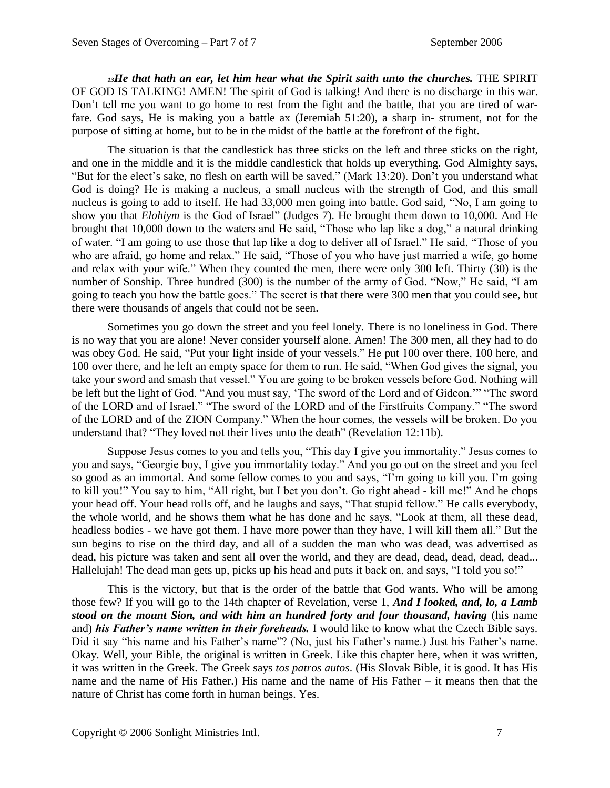*<sup>13</sup>He that hath an ear, let him hear what the Spirit saith unto the churches.* THE SPIRIT OF GOD IS TALKING! AMEN! The spirit of God is talking! And there is no discharge in this war. Don't tell me you want to go home to rest from the fight and the battle, that you are tired of warfare. God says, He is making you a battle ax (Jeremiah 51:20), a sharp in- strument, not for the purpose of sitting at home, but to be in the midst of the battle at the forefront of the fight.

The situation is that the candlestick has three sticks on the left and three sticks on the right, and one in the middle and it is the middle candlestick that holds up everything. God Almighty says, "But for the elect's sake, no flesh on earth will be saved," (Mark 13:20). Don't you understand what God is doing? He is making a nucleus, a small nucleus with the strength of God, and this small nucleus is going to add to itself. He had 33,000 men going into battle. God said, "No, I am going to show you that *Elohiym* is the God of Israel" (Judges 7). He brought them down to 10,000. And He brought that 10,000 down to the waters and He said, "Those who lap like a dog," a natural drinking of water. "I am going to use those that lap like a dog to deliver all of Israel." He said, "Those of you who are afraid, go home and relax." He said, "Those of you who have just married a wife, go home and relax with your wife." When they counted the men, there were only 300 left. Thirty (30) is the number of Sonship. Three hundred (300) is the number of the army of God. "Now," He said, "I am going to teach you how the battle goes." The secret is that there were 300 men that you could see, but there were thousands of angels that could not be seen.

Sometimes you go down the street and you feel lonely. There is no loneliness in God. There is no way that you are alone! Never consider yourself alone. Amen! The 300 men, all they had to do was obey God. He said, "Put your light inside of your vessels." He put 100 over there, 100 here, and 100 over there, and he left an empty space for them to run. He said, "When God gives the signal, you take your sword and smash that vessel." You are going to be broken vessels before God. Nothing will be left but the light of God. "And you must say, 'The sword of the Lord and of Gideon.'" "The sword of the LORD and of Israel." "The sword of the LORD and of the Firstfruits Company." "The sword of the LORD and of the ZION Company." When the hour comes, the vessels will be broken. Do you understand that? "They loved not their lives unto the death" (Revelation 12:11b).

Suppose Jesus comes to you and tells you, "This day I give you immortality." Jesus comes to you and says, "Georgie boy, I give you immortality today." And you go out on the street and you feel so good as an immortal. And some fellow comes to you and says, "I'm going to kill you. I'm going to kill you!" You say to him, "All right, but I bet you don't. Go right ahead - kill me!" And he chops your head off. Your head rolls off, and he laughs and says, "That stupid fellow." He calls everybody, the whole world, and he shows them what he has done and he says, "Look at them, all these dead, headless bodies - we have got them. I have more power than they have, I will kill them all." But the sun begins to rise on the third day, and all of a sudden the man who was dead, was advertised as dead, his picture was taken and sent all over the world, and they are dead, dead, dead, dead, dead... Hallelujah! The dead man gets up, picks up his head and puts it back on, and says, "I told you so!"

This is the victory, but that is the order of the battle that God wants. Who will be among those few? If you will go to the 14th chapter of Revelation, verse 1, *And I looked, and, lo, a Lamb stood on the mount Sion, and with him an hundred forty and four thousand, having* (his name and) *his Father's name written in their foreheads.* I would like to know what the Czech Bible says. Did it say "his name and his Father's name"? (No, just his Father's name.) Just his Father's name. Okay. Well, your Bible, the original is written in Greek. Like this chapter here, when it was written, it was written in the Greek. The Greek says *tos patros autos*. (His Slovak Bible, it is good. It has His name and the name of His Father.) His name and the name of His Father – it means then that the nature of Christ has come forth in human beings. Yes.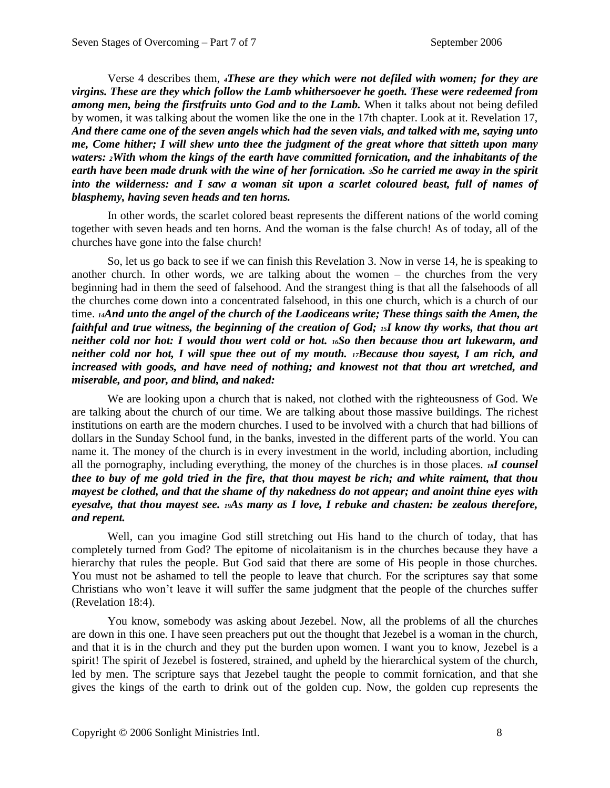Verse 4 describes them, *4These are they which were not defiled with women; for they are virgins. These are they which follow the Lamb whithersoever he goeth. These were redeemed from*  among men, being the firstfruits unto God and to the Lamb. When it talks about not being defiled by women, it was talking about the women like the one in the 17th chapter. Look at it. Revelation 17, *And there came one of the seven angels which had the seven vials, and talked with me, saying unto me, Come hither; I will shew unto thee the judgment of the great whore that sitteth upon many waters: 2With whom the kings of the earth have committed fornication, and the inhabitants of the earth have been made drunk with the wine of her fornication. 3So he carried me away in the spirit into the wilderness: and I saw a woman sit upon a scarlet coloured beast, full of names of blasphemy, having seven heads and ten horns.*

In other words, the scarlet colored beast represents the different nations of the world coming together with seven heads and ten horns. And the woman is the false church! As of today, all of the churches have gone into the false church!

So, let us go back to see if we can finish this Revelation 3. Now in verse 14, he is speaking to another church. In other words, we are talking about the women – the churches from the very beginning had in them the seed of falsehood. And the strangest thing is that all the falsehoods of all the churches come down into a concentrated falsehood, in this one church, which is a church of our time. *14And unto the angel of the church of the Laodiceans write; These things saith the Amen, the faithful and true witness, the beginning of the creation of God; <sup>15</sup>I know thy works, that thou art neither cold nor hot: I would thou wert cold or hot. 16So then because thou art lukewarm, and neither cold nor hot, I will spue thee out of my mouth. 17Because thou sayest, I am rich, and increased with goods, and have need of nothing; and knowest not that thou art wretched, and miserable, and poor, and blind, and naked:*

We are looking upon a church that is naked, not clothed with the righteousness of God. We are talking about the church of our time. We are talking about those massive buildings. The richest institutions on earth are the modern churches. I used to be involved with a church that had billions of dollars in the Sunday School fund, in the banks, invested in the different parts of the world. You can name it. The money of the church is in every investment in the world, including abortion, including all the pornography, including everything, the money of the churches is in those places. *18I counsel thee to buy of me gold tried in the fire, that thou mayest be rich; and white raiment, that thou mayest be clothed, and that the shame of thy nakedness do not appear; and anoint thine eyes with eyesalve, that thou mayest see. 19As many as I love, I rebuke and chasten: be zealous therefore, and repent.*

Well, can you imagine God still stretching out His hand to the church of today, that has completely turned from God? The epitome of nicolaitanism is in the churches because they have a hierarchy that rules the people. But God said that there are some of His people in those churches. You must not be ashamed to tell the people to leave that church. For the scriptures say that some Christians who won't leave it will suffer the same judgment that the people of the churches suffer (Revelation 18:4).

You know, somebody was asking about Jezebel. Now, all the problems of all the churches are down in this one. I have seen preachers put out the thought that Jezebel is a woman in the church, and that it is in the church and they put the burden upon women. I want you to know, Jezebel is a spirit! The spirit of Jezebel is fostered, strained, and upheld by the hierarchical system of the church, led by men. The scripture says that Jezebel taught the people to commit fornication, and that she gives the kings of the earth to drink out of the golden cup. Now, the golden cup represents the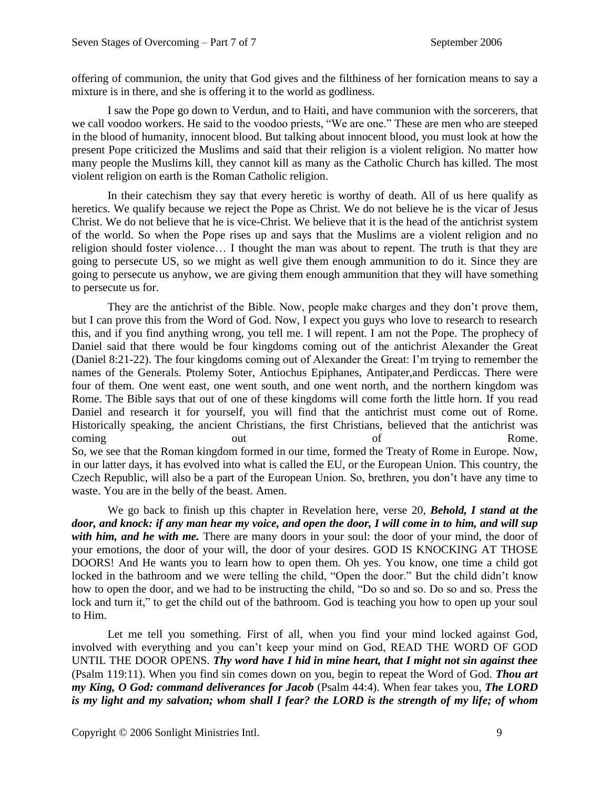offering of communion, the unity that God gives and the filthiness of her fornication means to say a mixture is in there, and she is offering it to the world as godliness.

I saw the Pope go down to Verdun, and to Haiti, and have communion with the sorcerers, that we call voodoo workers. He said to the voodoo priests, "We are one." These are men who are steeped in the blood of humanity, innocent blood. But talking about innocent blood, you must look at how the present Pope criticized the Muslims and said that their religion is a violent religion. No matter how many people the Muslims kill, they cannot kill as many as the Catholic Church has killed. The most violent religion on earth is the Roman Catholic religion.

In their catechism they say that every heretic is worthy of death. All of us here qualify as heretics. We qualify because we reject the Pope as Christ. We do not believe he is the vicar of Jesus Christ. We do not believe that he is vice-Christ. We believe that it is the head of the antichrist system of the world. So when the Pope rises up and says that the Muslims are a violent religion and no religion should foster violence… I thought the man was about to repent. The truth is that they are going to persecute US, so we might as well give them enough ammunition to do it. Since they are going to persecute us anyhow, we are giving them enough ammunition that they will have something to persecute us for.

They are the antichrist of the Bible. Now, people make charges and they don't prove them, but I can prove this from the Word of God. Now, I expect you guys who love to research to research this, and if you find anything wrong, you tell me. I will repent. I am not the Pope. The prophecy of Daniel said that there would be four kingdoms coming out of the antichrist Alexander the Great (Daniel 8:21-22). The four kingdoms coming out of Alexander the Great: I'm trying to remember the names of the Generals. Ptolemy Soter, Antiochus Epiphanes, Antipater,and Perdiccas. There were four of them. One went east, one went south, and one went north, and the northern kingdom was Rome. The Bible says that out of one of these kingdoms will come forth the little horn. If you read Daniel and research it for yourself, you will find that the antichrist must come out of Rome. Historically speaking, the ancient Christians, the first Christians, believed that the antichrist was coming out out of Rome. So, we see that the Roman kingdom formed in our time, formed the Treaty of Rome in Europe. Now, in our latter days, it has evolved into what is called the EU, or the European Union. This country, the Czech Republic, will also be a part of the European Union. So, brethren, you don't have any time to waste. You are in the belly of the beast. Amen.

We go back to finish up this chapter in Revelation here, verse 20, *Behold, I stand at the door, and knock: if any man hear my voice, and open the door, I will come in to him, and will sup*  with him, and he with me. There are many doors in your soul: the door of your mind, the door of your emotions, the door of your will, the door of your desires. GOD IS KNOCKING AT THOSE DOORS! And He wants you to learn how to open them. Oh yes. You know, one time a child got locked in the bathroom and we were telling the child, "Open the door." But the child didn't know how to open the door, and we had to be instructing the child, "Do so and so. Do so and so. Press the lock and turn it," to get the child out of the bathroom. God is teaching you how to open up your soul to Him.

Let me tell you something. First of all, when you find your mind locked against God, involved with everything and you can't keep your mind on God, READ THE WORD OF GOD UNTIL THE DOOR OPENS. *Thy word have I hid in mine heart, that I might not sin against thee*  (Psalm 119:11). When you find sin comes down on you, begin to repeat the Word of God. *Thou art my King, O God: command deliverances for Jacob* (Psalm 44:4). When fear takes you, *The LORD is my light and my salvation; whom shall I fear? the LORD is the strength of my life; of whom*